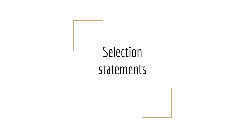# **Selection**

#### statements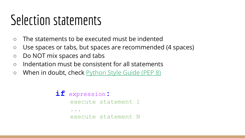- The statements to be executed must be indented
- Use spaces or tabs, but spaces are recommended (4 spaces)
- Do NOT mix spaces and tabs
- Indentation must be consistent for all statements
- When in doubt, check Python Style Guide (PEP 8)

```
if expression:
    execute statement 1
...
    execute statement N
```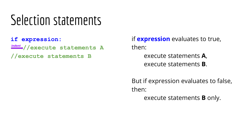**if expression:**

**//execute statements A** *indent*

**//execute statements B**

if **expression** evaluates to true, then:

> execute statements **A**, execute statements **B**.

But if expression evaluates to false, then:

execute statements **B** only.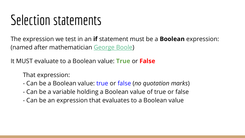The expression we test in an **if** statement must be a **Boolean** expression: (named after mathematician George Boole)

It MUST evaluate to a Boolean value: **True** or **False**

That expression:

- Can be a Boolean value: true or false (*no quotation marks*)
- Can be a variable holding a Boolean value of true or false
- Can be an expression that evaluates to a Boolean value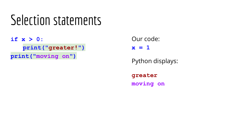**if x > 0: print("greater!") print("moving on")**

Our code:

 $x = 1$ 

Python displays:

**greater moving on**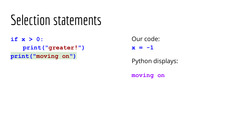**if x > 0: print("greater!") print("moving on")**

Our code:

 $x = -1$ 

Python displays:

**moving on**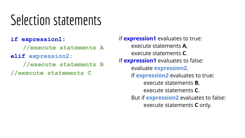**if expression1:**

**//execute statements A**

**elif expression2:**

**//execute statements B**

**//execute statements C**

if **expression1** evaluates to true: execute statements **A**, execute statements **C**. If **expression1** evaluates to false: evaluate **expression2**. If **expression2** evaluates to true: execute statements **B**, execute statements **C**. But if **expression2** evaluates to false: execute statements **C** only.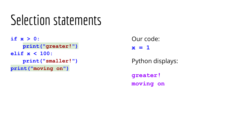**if x > 0: print("greater!") elif x < 100: print("smaller!") print("moving on")**

Our code:

 $x = 1$ 

Python displays:

**greater! moving on**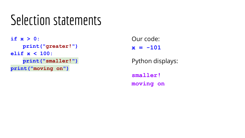**if x > 0: print("greater!") elif x < 100: print("smaller!") print("moving on")**

Our code:

 $x = -101$ 

Python displays:

**smaller! moving on**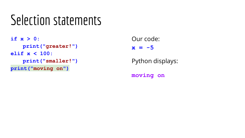**if x > 0: print("greater!") elif x < 100: print("smaller!") print("moving on")**

Our code:

 $x = -5$ 

Python displays:

**moving on**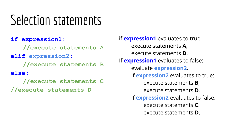**if expression1:**

**//execute statements A**

**elif expression2:**

**//execute statements B**

**else:**

**//execute statements C**

**//execute statements D**

if **expression1** evaluates to true: execute statements **A**, execute statements **D**. If **expression1** evaluates to false: evaluate **expression2**. If **expression2** evaluates to true: execute statements **B**, execute statements **D**. If **expression2** evaluates to false: execute statements **C**. execute statements **D**.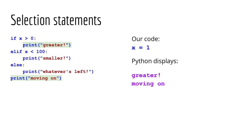**if x > 0: print("greater!") elif x < 100: print("smaller!") else: print("whatever's left!") print("moving on")**

Our code:

**x = 1**

Python displays:

**greater! moving on**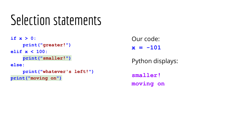**if x > 0: print("greater!") elif x < 100: print("smaller!") else: print("whatever's left!") print("moving on")**

Our code:

**x = -101**

Python displays:

**smaller! moving on**